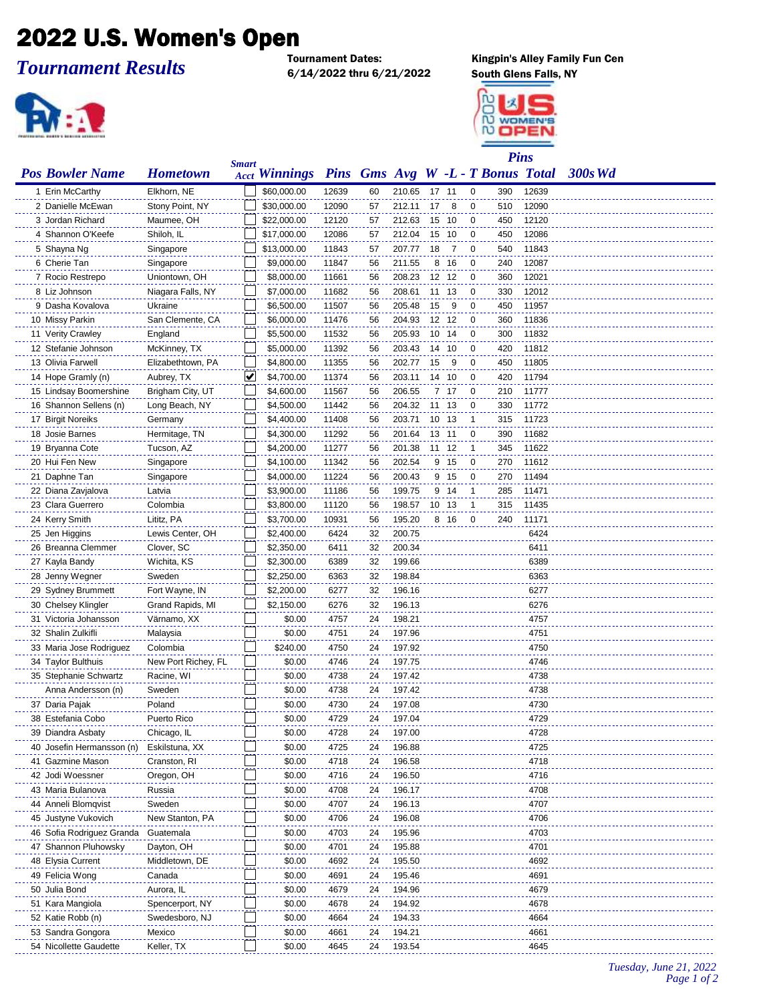## 2022 U.S. Women's Open

*Tournament Results*

6/14/2022 thru 6/21/2022



Kingpin's Alley Family Fun Cen<br>South Glens Falls, NY



| <b>Pos Bowler Name</b>                      | <b>Hometown</b>            | <b>Smart</b> | <b>Acct Winnings</b> |              |          |        |    |       |                |     | Pins Gms Avg W -L - T Bonus Total | 300s Wd |
|---------------------------------------------|----------------------------|--------------|----------------------|--------------|----------|--------|----|-------|----------------|-----|-----------------------------------|---------|
| 1 Erin McCarthy                             | Elkhorn, NE                |              | \$60,000.00          | 12639        | 60       | 210.65 |    | 17 11 | 0              | 390 | 12639                             |         |
| 2 Danielle McEwan                           | Stony Point, NY            |              | \$30,000.00          | 12090        | 57       | 212.11 | 17 | 8     | 0              | 510 | 12090                             |         |
| 3 Jordan Richard                            | Maumee, OH                 |              | \$22,000.00          | 12120        | 57       | 212.63 | 15 | -10   | 0              | 450 | 12120                             |         |
| 4 Shannon O'Keefe                           | Shiloh, IL                 |              | \$17,000.00          | 12086        | 57       | 212.04 | 15 | -10   | $\mathbf 0$    | 450 | 12086                             |         |
| 5 Shayna Ng                                 | Singapore                  |              | \$13,000.00          | 11843        | 57       | 207.77 | 18 | 7     | $\mathbf 0$    | 540 | 11843                             |         |
| 6 Cherie Tan                                | Singapore                  |              | \$9,000.00           | 11847        | 56       | 211.55 | 8  | - 16  | 0              | 240 | 12087                             |         |
| 7 Rocio Restrepo                            | Uniontown, OH              |              | \$8,000.00           | 11661        | 56       | 208.23 |    | 12 12 | 0              | 360 | 12021                             |         |
| 8 Liz Johnson                               | Niagara Falls, NY          |              | \$7,000.00           | 11682        | 56       | 208.61 |    | 11 13 | 0              | 330 | 12012                             |         |
| 9 Dasha Kovalova                            | Ukraine                    |              | \$6,500.00           | 11507        | 56       | 205.48 | 15 | 9     | 0              | 450 | 11957                             |         |
| 10 Missy Parkin                             | San Clemente, CA           |              | \$6,000.00           | 11476        | 56       | 204.93 |    | 12 12 | 0              | 360 | 11836                             |         |
| 11 Verity Crawley                           | England                    |              | \$5,500.00           | 11532        | 56       | 205.93 | 10 | -14   | 0              | 300 | 11832                             |         |
| 12 Stefanie Johnson                         | McKinney, TX               |              | \$5,000.00           | 11392        | 56       | 203.43 | 14 | 10    | $\mathbf 0$    | 420 | 11812                             |         |
| 13 Olivia Farwell                           | Elizabethtown, PA          |              | \$4,800.00           | 11355        | 56       | 202.77 | 15 | 9     | $\mathbf 0$    | 450 | 11805                             |         |
| 14 Hope Gramly (n)                          | Aubrey, TX                 | V            | \$4,700.00           | 11374        | 56       | 203.11 |    | 14 10 | $\mathbf 0$    | 420 | 11794                             |         |
| 15 Lindsay Boomershine                      | Brigham City, UT           |              | \$4,600.00           | 11567        | 56       | 206.55 |    | 7 17  | 0              | 210 | 11777                             |         |
| 16 Shannon Sellens (n)                      | Long Beach, NY             |              | \$4,500.00           | 11442        | 56       | 204.32 |    | 11 13 | 0              | 330 | 11772                             |         |
| 17 Birgit Noreiks                           | Germany                    |              | \$4,400.00           | 11408        | 56       | 203.71 |    | 10 13 | 1              | 315 | 11723                             |         |
| 18 Josie Barnes                             | Hermitage, TN              |              | \$4,300.00           | 11292        | 56       | 201.64 |    | 13 11 | 0              | 390 | 11682                             |         |
| 19 Bryanna Cote                             | Tucson, AZ                 |              | \$4,200.00           | 11277        | 56       | 201.38 | 11 | -12   | -1             | 345 | 11622                             |         |
| 20 Hui Fen New                              | Singapore                  |              | \$4,100.00           | 11342        | 56       | 202.54 | 9  | -15   | $\mathbf 0$    | 270 | 11612                             |         |
| 21 Daphne Tan                               | Singapore                  |              | \$4,000.00           | 11224        | 56       | 200.43 | 9  | - 15  | 0              | 270 | 11494                             |         |
| 22 Diana Zavjalova                          | Latvia                     |              | \$3,900.00           | 11186        | 56       | 199.75 |    | 9 14  | $\overline{1}$ | 285 | 11471                             |         |
| 23 Clara Guerrero                           | Colombia                   |              | \$3,800.00           | 11120        | 56       | 198.57 |    | 10 13 | $\mathbf{1}$   | 315 | 11435                             |         |
| 24 Kerry Smith                              | Lititz, PA                 |              | \$3,700.00           | 10931        | 56       | 195.20 |    | 8 16  | $\mathbf 0$    | 240 | 11171                             |         |
| 25 Jen Higgins                              | Lewis Center, OH           |              | \$2,400.00           | 6424         | 32       | 200.75 |    |       |                |     | 6424                              |         |
| 26 Breanna Clemmer                          | Clover, SC                 |              | \$2,350.00           | 6411         | 32       | 200.34 |    |       |                |     | 6411                              |         |
| 27 Kayla Bandy                              | Wichita, KS                |              | \$2,300.00           | 6389         | 32       | 199.66 |    |       |                |     | 6389                              |         |
| 28 Jenny Wegner                             | Sweden                     |              | \$2,250.00           | 6363         | 32       | 198.84 |    |       |                |     | 6363                              |         |
| 29 Sydney Brummett                          | Fort Wayne, IN             |              | \$2,200.00           | 6277         | 32       | 196.16 |    |       |                |     | 6277                              |         |
| 30 Chelsey Klingler                         | Grand Rapids, MI           |              | \$2,150.00           | 6276         | 32       | 196.13 |    |       |                |     | 6276                              |         |
| 31 Victoria Johansson                       | Värnamo, XX                |              | \$0.00               | 4757         | 24       | 198.21 |    |       |                |     | 4757                              |         |
| 32 Shalin Zulkifli                          | Malaysia                   |              | \$0.00               | 4751         | 24       | 197.96 |    |       |                |     | 4751                              |         |
| 33 Maria Jose Rodriguez                     | Colombia                   |              | \$240.00             | 4750         | 24       | 197.92 |    |       |                |     | 4750                              |         |
|                                             | New Port Richey, FL        |              | \$0.00               | 4746         | 24       | 197.75 |    |       |                |     | 4746                              |         |
| 34 Taylor Bulthuis<br>35 Stephanie Schwartz |                            |              | \$0.00               |              | 24       | 197.42 |    |       |                |     | 4738                              |         |
|                                             | Racine, WI<br>Sweden       |              | \$0.00               | 4738<br>4738 | 24       | 197.42 |    |       |                |     | 4738                              |         |
| Anna Andersson (n)<br>37 Daria Pajak        | Poland                     |              | \$0.00               |              | 24       | 197.08 |    |       |                |     | 4730                              |         |
| 38 Estefania Cobo                           |                            |              | \$0.00               | 4730<br>4729 | 24       | 197.04 |    |       |                |     | 4729                              |         |
|                                             | Puerto Rico<br>Chicago, IL |              | \$0.00               | 4728         | 24       | 197.00 |    |       |                |     | 4728                              |         |
| 39 Diandra Asbaty                           | Eskilstuna, XX             |              | \$0.00               | 4725         |          | 196.88 |    |       |                |     | 4725                              |         |
| 40 Josefin Hermansson (n)                   |                            |              |                      |              | 24       |        |    |       |                |     |                                   |         |
| 41 Gazmine Mason                            | Cranston, RI               |              | \$0.00               | 4718         | 24       | 196.58 |    |       |                |     | 4718                              |         |
| 42 Jodi Woessner                            | Oregon, OH                 |              | \$0.00               | 4716         | 24       | 196.50 |    |       |                |     | 4716<br>4708                      |         |
| 43 Maria Bulanova                           | Russia                     |              | \$0.00               | 4708         | 24<br>24 | 196.17 |    |       |                |     | 4707                              |         |
| 44 Anneli Blomqvist                         | Sweden<br>New Stanton, PA  |              | \$0.00               | 4707         |          | 196.13 |    |       |                |     |                                   |         |
| 45 Justyne Vukovich                         |                            |              | \$0.00               | 4706         | 24       | 196.08 |    |       |                |     | 4706                              |         |
| 46 Sofia Rodriguez Granda                   | Guatemala                  |              | \$0.00               | 4703         | 24       | 195.96 |    |       |                |     | 4703                              |         |
| 47 Shannon Pluhowsky                        | Dayton, OH                 |              | \$0.00               | 4701         | 24       | 195.88 |    |       |                |     | 4701                              |         |
| 48 Elysia Current                           | Middletown, DE             |              | \$0.00               | 4692         | 24       | 195.50 |    |       |                |     | 4692                              |         |
| 49 Felicia Wong                             | Canada                     |              | \$0.00               | 4691         | 24       | 195.46 |    |       |                |     | 4691                              |         |
| 50 Julia Bond                               | Aurora, IL                 |              | \$0.00               | 4679         | 24       | 194.96 |    |       |                |     | 4679                              |         |
| 51 Kara Mangiola                            | Spencerport, NY            |              | \$0.00               | 4678         | 24       | 194.92 |    |       |                |     | 4678                              |         |
| 52 Katie Robb (n)                           | Swedesboro, NJ             |              | \$0.00               | 4664         | 24       | 194.33 |    |       |                |     | 4664                              |         |
| 53 Sandra Gongora                           | Mexico                     |              | \$0.00               | 4661         | 24       | 194.21 |    |       |                |     | 4661                              |         |
| 54 Nicollette Gaudette                      | Keller, TX                 |              | \$0.00               | 4645         | 24       | 193.54 |    |       |                |     | 4645                              |         |

*Tuesday, June 21, 2022 Page 1 of 2*